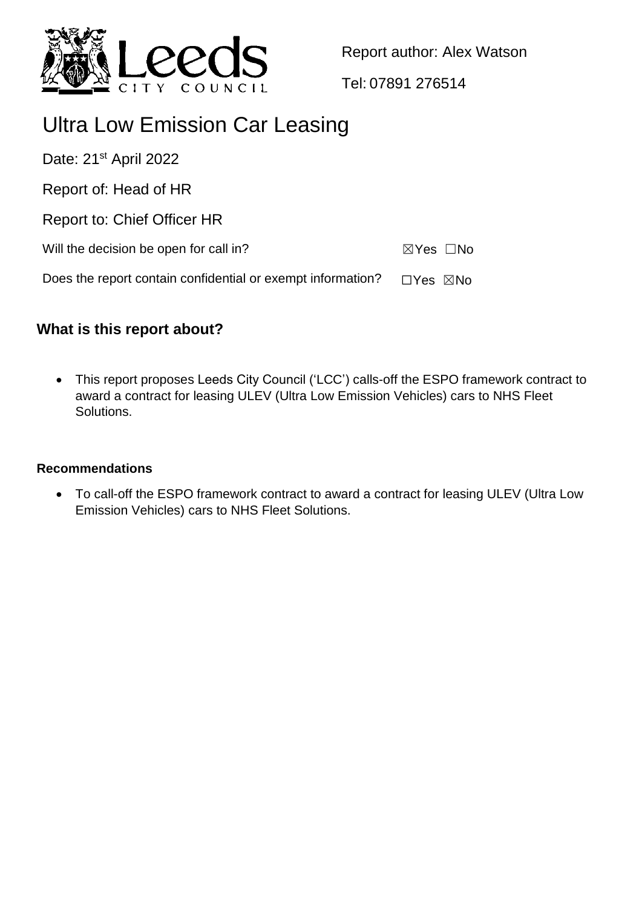

Report author: Alex Watson

Tel: 07891 276514

# Ultra Low Emission Car Leasing

Date: 21<sup>st</sup> April 2022

Report of: Head of HR

Report to: Chief Officer HR

Will the decision be open for call in?  $\boxtimes Y$ es  $\Box$ No

Does the report contain confidential or exempt information?  $\Box$ Yes  $\boxtimes$ No

## **What is this report about?**

 This report proposes Leeds City Council ('LCC') calls-off the ESPO framework contract to award a contract for leasing ULEV (Ultra Low Emission Vehicles) cars to NHS Fleet Solutions.

#### **Recommendations**

 To call-off the ESPO framework contract to award a contract for leasing ULEV (Ultra Low Emission Vehicles) cars to NHS Fleet Solutions.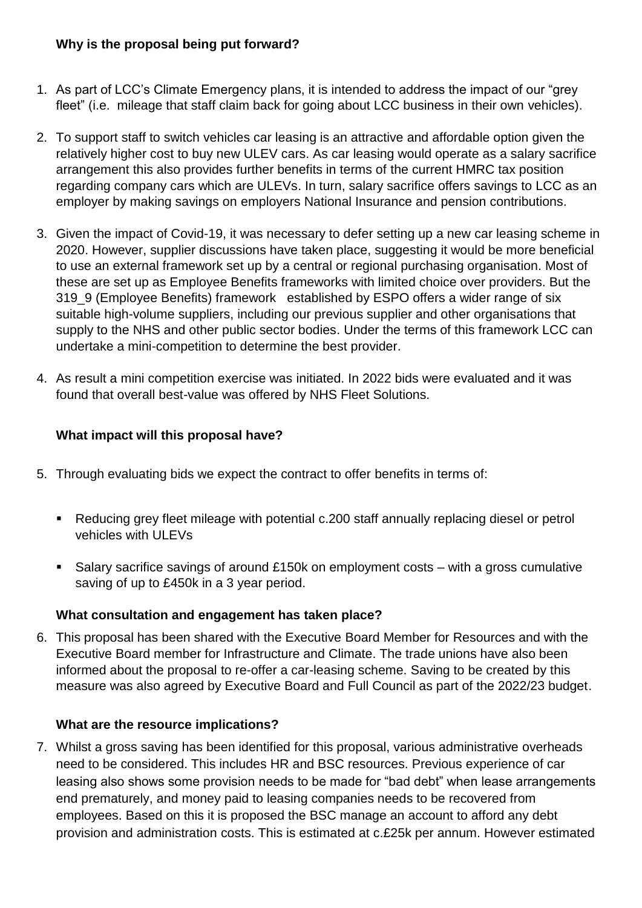#### **Why is the proposal being put forward?**

- 1. As part of LCC's Climate Emergency plans, it is intended to address the impact of our "grey fleet" (i.e. mileage that staff claim back for going about LCC business in their own vehicles).
- 2. To support staff to switch vehicles car leasing is an attractive and affordable option given the relatively higher cost to buy new ULEV cars. As car leasing would operate as a salary sacrifice arrangement this also provides further benefits in terms of the current HMRC tax position regarding company cars which are ULEVs. In turn, salary sacrifice offers savings to LCC as an employer by making savings on employers National Insurance and pension contributions.
- 3. Given the impact of Covid-19, it was necessary to defer setting up a new car leasing scheme in 2020. However, supplier discussions have taken place, suggesting it would be more beneficial to use an external framework set up by a central or regional purchasing organisation. Most of these are set up as Employee Benefits frameworks with limited choice over providers. But the 319 9 (Employee Benefits) framework established by ESPO offers a wider range of six suitable high-volume suppliers, including our previous supplier and other organisations that supply to the NHS and other public sector bodies. Under the terms of this framework LCC can undertake a mini-competition to determine the best provider.
- 4. As result a mini competition exercise was initiated. In 2022 bids were evaluated and it was found that overall best-value was offered by NHS Fleet Solutions.

### **What impact will this proposal have?**

- 5. Through evaluating bids we expect the contract to offer benefits in terms of:
	- Reducing grey fleet mileage with potential c.200 staff annually replacing diesel or petrol vehicles with ULEVs
	- Salary sacrifice savings of around £150k on employment costs with a gross cumulative saving of up to £450k in a 3 year period.

#### **What consultation and engagement has taken place?**

6. This proposal has been shared with the Executive Board Member for Resources and with the Executive Board member for Infrastructure and Climate. The trade unions have also been informed about the proposal to re-offer a car-leasing scheme. Saving to be created by this measure was also agreed by Executive Board and Full Council as part of the 2022/23 budget.

#### **What are the resource implications?**

7. Whilst a gross saving has been identified for this proposal, various administrative overheads need to be considered. This includes HR and BSC resources. Previous experience of car leasing also shows some provision needs to be made for "bad debt" when lease arrangements end prematurely, and money paid to leasing companies needs to be recovered from employees. Based on this it is proposed the BSC manage an account to afford any debt provision and administration costs. This is estimated at c.£25k per annum. However estimated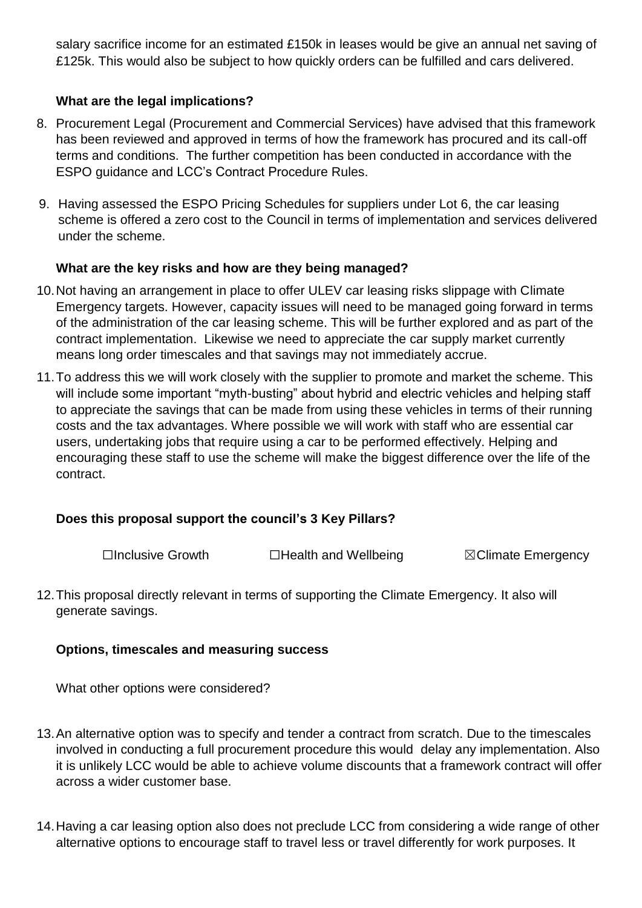salary sacrifice income for an estimated £150k in leases would be give an annual net saving of £125k. This would also be subject to how quickly orders can be fulfilled and cars delivered.

#### **What are the legal implications?**

- 8. Procurement Legal (Procurement and Commercial Services) have advised that this framework has been reviewed and approved in terms of how the framework has procured and its call-off terms and conditions. The further competition has been conducted in accordance with the ESPO guidance and LCC's Contract Procedure Rules.
- 9. Having assessed the ESPO Pricing Schedules for suppliers under Lot 6, the car leasing scheme is offered a zero cost to the Council in terms of implementation and services delivered under the scheme.

#### **What are the key risks and how are they being managed?**

- 10.Not having an arrangement in place to offer ULEV car leasing risks slippage with Climate Emergency targets. However, capacity issues will need to be managed going forward in terms of the administration of the car leasing scheme. This will be further explored and as part of the contract implementation. Likewise we need to appreciate the car supply market currently means long order timescales and that savings may not immediately accrue.
- 11.To address this we will work closely with the supplier to promote and market the scheme. This will include some important "myth-busting" about hybrid and electric vehicles and helping staff to appreciate the savings that can be made from using these vehicles in terms of their running costs and the tax advantages. Where possible we will work with staff who are essential car users, undertaking jobs that require using a car to be performed effectively. Helping and encouraging these staff to use the scheme will make the biggest difference over the life of the contract.

#### **Does this proposal support the council's 3 Key Pillars?**

☐Inclusive Growth ☐Health and Wellbeing ☒Climate Emergency

12.This proposal directly relevant in terms of supporting the Climate Emergency. It also will generate savings.

#### **Options, timescales and measuring success**

What other options were considered?

- 13.An alternative option was to specify and tender a contract from scratch. Due to the timescales involved in conducting a full procurement procedure this would delay any implementation. Also it is unlikely LCC would be able to achieve volume discounts that a framework contract will offer across a wider customer base.
- 14.Having a car leasing option also does not preclude LCC from considering a wide range of other alternative options to encourage staff to travel less or travel differently for work purposes. It